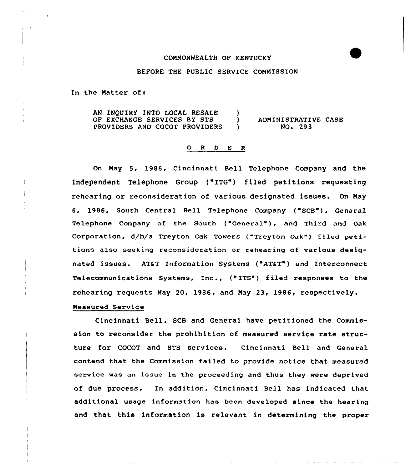### COMMONWEALTH OF KENTUCKY

### BEFORE THE PUBLIC SERVICE COMMISSION

In the Natter of:

AN INQUIRY INTO LOCAL RESALE OF EXCHANGE SERVICES BY STS PROVIDERS AND COCOT PROVIDERS  $\left\{ \right.$ ) ADMINISTRATIVE CASE<br>
10.293 NO <sup>~</sup> 293

### O R D E R

On Nay 5, 1986, Cincinnati Bell Telephone Company and the Independent Telephone Group ("1TG"} filed petitions requesting rehearing or reconsideration of various designated issues. On May <sup>6</sup> 1986 South Central Bell Telephone Company ("SCB"), General Telephone Company of the South ("General" ), and Third and Oak Corporation, d/b/a Treyton Oak Towers ("Treyton Oak") filed petitions also seeking reconsideration or rehearing of various designated issues. AT&T Information Systems ("AT&T") and Interconnec Telecommunications Systems, Inc., ("ITS") filed responses to the rehearing requests May 20, 1986, and May 23< 1986, respectively.

## Neasured Service

Cincinnati Bell, SCB and General have petitioned the Commission to reconsider the prohibition of measured service rate structure for COCOT and STS services, Cincinnati Bell and General contend that the Commission failed to provide notice that measured service was an issue in the proceeding and thus they were deprived of due process. In addition, Cincinnati Bell has indicated that additional usage information has been developed since the hearing and that this information is relevant in determining the proper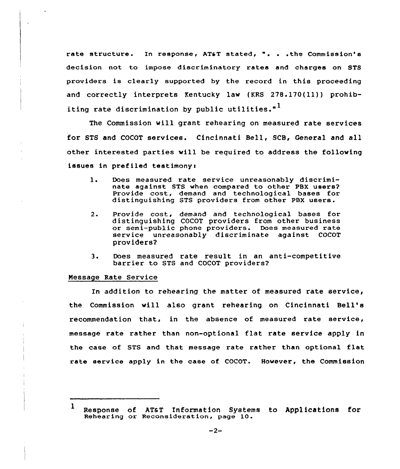rate structure. In response, AT&T stated, ". . . the Commission's decision not to impose discriminatory rates and charges on STS providers is clearly supported by the record in this proceeding and correctly interprets Kentucky lav (KRS 278.170(11)) prohibiting rate discrimination by public utilities."<sup>1</sup>

The Commission vill grant rehearing on measured rate services for STS and COCOT services. Cincinnati Bell, SCB, General and all other interested parties will be required to address the following issues in prefiled testimony:

- $1.$ Does measured rate service unreasonably discriminate against STS when compared to other PBX users? Provide cost, demand and technological bases for distinguishing STS providers from other PBX users.
- $2.$ Provide cost, demand and technological bases for distinguishing COCOT providers from other business or semi-public phone providers. Does measured rate service unreasonably discriminate against COCOT providers?
- 3. Does measured rate result in an anti-competitive barrier to STS and COCOT providers?

## Nessage Rate Service

In addition to rehearing the matter of measured rate service, the Commission vill also grant rehearing on Cincinnati Bell' recommendation that, in the absence of measured rate service, message rate rather than non-optional flat rate service apply in the case of STS and that message rate rather than optional flat rate service apply in the case of COCOT. However, the Commission

<sup>1</sup> Response of ATaT Information Systems to Applications for Rehearing or Reconsideration, page 10.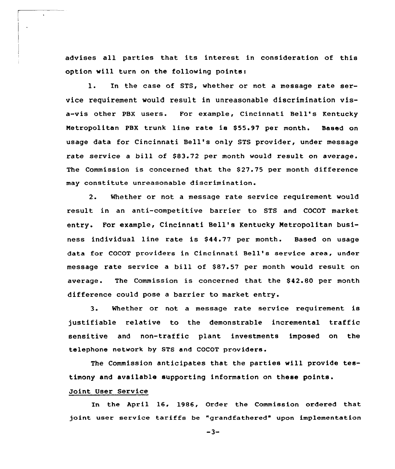advises all parties that its interest in consideration of this option will turn on the following points:

l. In the case of STS, whether or not <sup>a</sup> message rate service requirement would result in unreasonable discrimination visa-vis other PBX users. For example, Cincinnati Bell's Kentucky Metropolitan PBX trunk line rate is \$55.97 per month. Based on usage data for Cincinnati Bell's only STS provider, under message rate service a bill of \$83.72 per month would result on average. The Commission is concerned that the \$27.75 per month difference may constitute unreasonable discrimination.

2. Whether or not a message rate service requirement would result in an anti-competitive barrier to STS and COCOT market entry. For example, Cincinnati Bell's Kentucky Metropolitan business individual line rate is \$44.77 per month. Based on usage data for COCOT providers in Cincinnati Bell's service area, under message rate service a bill of \$87.57 per month would result on average. The Commission is concerned that the \$42.80 per month difference could pose a barrier to market entry.

3. Whether or not <sup>a</sup> message rate service requirement is justifiable relative to the demonstrable incremental traffic sensitive and non-traffic plant investments imposed on the telephone network by STS and COCOT providers.

The Commission anticipates that the parties will provide testimony and available supporting information on these points.

# Joint User Service

 $\ddot{\phantom{a}}$ 

 $\ddot{\phantom{a}}$ 

In the April 16, 1986, Order the Commission ordered that 5oint user service tariffs be "grandfathered" upon implementation

 $-3-$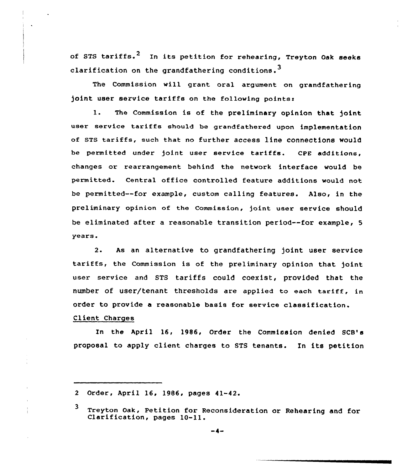of STS tariffs.<sup>2</sup> In its petition for rehearing, Treyton Oak seeks clarification on the grandfathering conditions.<sup>3</sup>

The Commission will grant oral argument on grandfathering joint user service tariffs on the following points:

1. The Commission is of the preliminary opinion that joint user service tariffs should be grandfathered upon implementation of STS tariffs, such that no further access line connections would be permitted under joint user service tariffs. CPE additions, changes or rearrangement behind the network interface would be permitted. Central office controlled feature additions would not be permitted--for example, custom calling features. Also, in the preliminary opinion of the commission, joint user service should be eliminated after a reasonable transition period--for example, 5 years.

2. As an alternative to grandfathering joint user service tariffs, the Commission is of the preliminary opinion that joint user service and STS tariffs could coexist, provided that the number of user/tenant thresholds are applied to each tariff, in order to provide a reasonable basis for service classification.

# Client Charges

In the April 16, 1986, Order the Commission denied SCB's proposal to apply client charges to STS tenants. In its petition

<sup>2</sup> Order, April 16, 1986, pages 41-42.

<sup>3</sup> Treyton Oak, Petition for Reconsideration or Rehearing and for<br>Clarification, pages 10-11.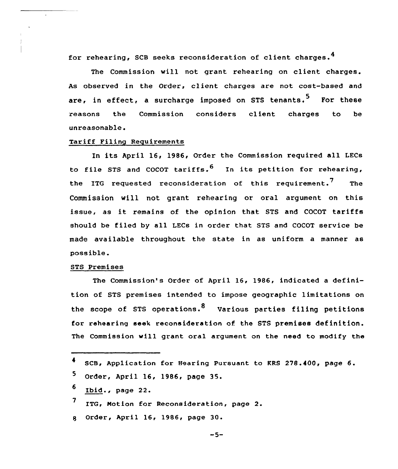for rehearing, SCB seeks reconsideration of client charges.

The Commission will not grant rehearing on client charges. As observed in the Order, client charges are not cost-based and are, in effect, a surcharge imposed on STS tenants.<sup>5</sup> For these reasons the Commission considers client charges to be unreasonable.

## Tariff Filing Requirements

In its April 16, 1986, Order the Commission required all LECs to file STS and COCOT tariffs.<sup>6</sup> In its petition for rehearing, the ITG requested reconsideration of this requirement.<sup>7</sup> The Commission will not grant rehearing or oral argument on this issue, as it remains of the opinion that STS and COCOT tariffs should be filed by all LECs in order that STS and COCOT service be made available throughout the state in as uniform a manner as possible.

### STS Premises

 $\Delta$ 

The Commission's Order of April 16, 1986, indicated a definition of STS premises intended to impose geographic limitations on the scope of STS operations.<sup>8</sup> Various parties filing petitions for rehearing seek reconsideration of the STS premises definition. The Commission will grant oral argument on the need to modify the

| <sup>4</sup> SCB, Application for Hearing Pursuant to KRS 278.400, page 6. |
|----------------------------------------------------------------------------|
| 5 Order, April 16, 1986, page 35.                                          |
| $6$ Ibid., page 22.                                                        |
| 7 ITG, Motion for Reconsideration, page 2.                                 |
| g Order, April 16, 1986, page 30.                                          |

 $-5-$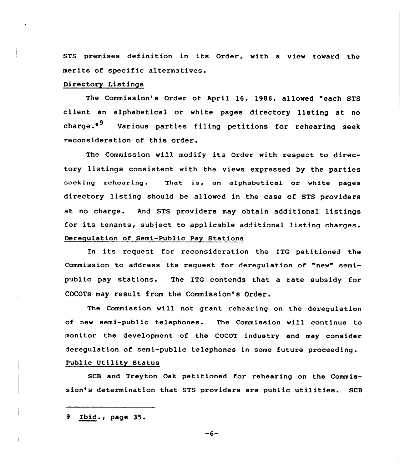STS premises definition in its Order, with a view toward the merits of specific alternatives.

# Directory Listings

The Commission's Order of April 16, 1986, allowed "each STS client an alphabetical or white pages directory listing at no charge. $^{\bullet}$ <sup>9</sup> Various parties filing petitions for rehearing seek reconsideration of this order.

The Commission will modify its Order with respect to directory listings consistent with the views expressed by the parties seeking rehearing. That is, an alphabetical or white pages directory listing should be allowed in the case of STS providers at no charge. And STS providers may obtain additional listings for its tenants, subject to applicable additional listing charges. Deregulation of Semi-Public Pay Stations

In its request for reconsideration the ITG petitioned the Commission to address its request for deregulation of "new" semipublic pay stations. The ITG contends that a rate subsidy for COCOTs may result from the Commission's Order.

The Commission will not grant rehearing on the deregulation of new semi-public telephones. The Commission will continue to monitor the development of the COCOT industry and may consider deregulation of semi-public telephones in some future proceeding. Public Utility Status

SCB and Treyton Oak petitioned for rehearing on the Commission's determination that STS providers are public utilities. SCB

<sup>9</sup> Ibid., page 35.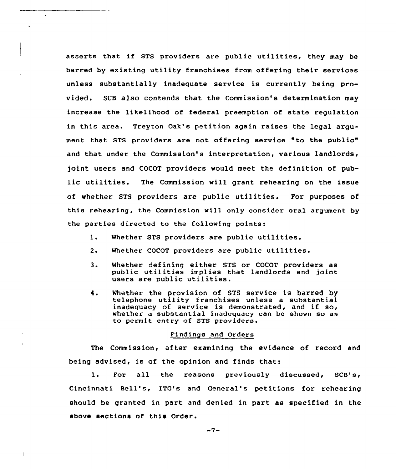asserts that if STS providers are public utilities, they may be barred by existing utility franchises from offering their services unless substantially inadequate service is currently being provided. SCB also contends that the Commission's determination may increase the likelihood of federal preemption of state regulation in this area. Treyton Oak's petition again raises the legal argument that STS providers are not offering service "to the public" and that under the Commission's interpretation, various landlords, joint users and COCOT providers would meet the definition of public utilities. The Commission will grant rehearing on the issue of whether STS providers are public utilities. For purposes of this rehearing, the Commission will only consider oral argument by the parties directed to the following points:

 $\bullet$ 

 $\bullet$ 

- 1. Whether STS providers are public utilities.
- 2. Whether COCOT providers are public utilities.
- 3. Whether defining either STS or COCOT providers as public utilities implies that landlords and joint users are public utilities.
- 4. Whether the provision of STS service is barred by telephone utility franchises unless a substantial inadequacy of service is demonstrated, and if so, whether a substantial inadequacy can be shown so as to permit entry of STS providers.

### Findings and Orders

The Commission, after examining the evidence of record and being advised, is of the opinion and finds that:

1. For all the reasons previously discussed, SCB's, Cincinnati Bell', ITG's and General's petitions for rehearing should be granted in part and denied in part as specified in the above sections of this Order.

 $-7-$